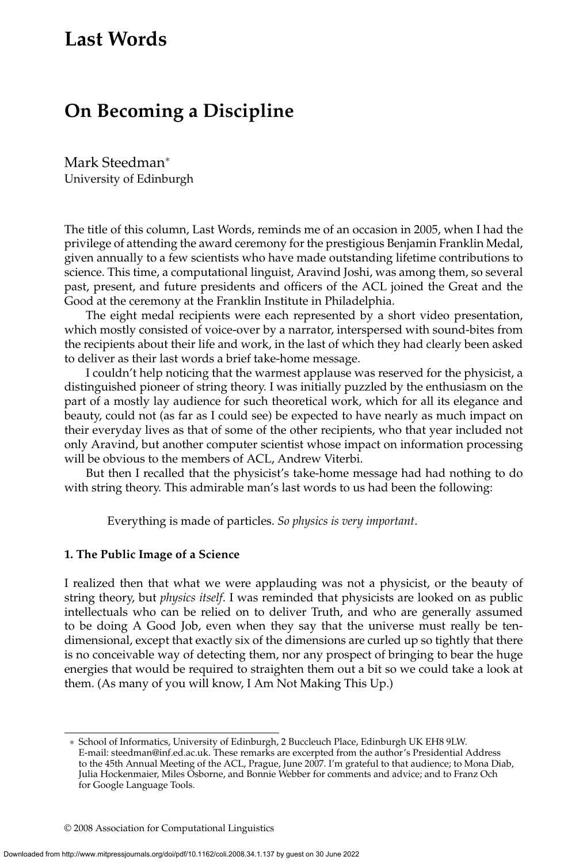# **Last Words**

## **On Becoming a Discipline**

Mark Steedman<sup>∗</sup> University of Edinburgh

The title of this column, Last Words, reminds me of an occasion in 2005, when I had the privilege of attending the award ceremony for the prestigious Benjamin Franklin Medal, given annually to a fewscientists who have made outstanding lifetime contributions to science. This time, a computational linguist, Aravind Joshi, was among them, so several past, present, and future presidents and officers of the ACL joined the Great and the Good at the ceremony at the Franklin Institute in Philadelphia.

The eight medal recipients were each represented by a short video presentation, which mostly consisted of voice-over by a narrator, interspersed with sound-bites from the recipients about their life and work, in the last of which they had clearly been asked to deliver as their last words a brief take-home message.

I couldn't help noticing that the warmest applause was reserved for the physicist, a distinguished pioneer of string theory. I was initially puzzled by the enthusiasm on the part of a mostly lay audience for such theoretical work, which for all its elegance and beauty, could not (as far as I could see) be expected to have nearly as much impact on their everyday lives as that of some of the other recipients, who that year included not only Aravind, but another computer scientist whose impact on information processing will be obvious to the members of ACL, Andrew Viterbi.

But then I recalled that the physicist's take-home message had had nothing to do with string theory. This admirable man's last words to us had been the following:

Everything is made of particles. *So physics is very important*.

#### **1. The Public Image of a Science**

I realized then that what we were applauding was not a physicist, or the beauty of string theory, but *physics itself*. I was reminded that physicists are looked on as public intellectuals who can be relied on to deliver Truth, and who are generally assumed to be doing A Good Job, even when they say that the universe must really be tendimensional, except that exactly six of the dimensions are curled up so tightly that there is no conceivable way of detecting them, nor any prospect of bringing to bear the huge energies that would be required to straighten them out a bit so we could take a look at them. (As many of you will know, I Am Not Making This Up.)

<sup>∗</sup> School of Informatics, University of Edinburgh, 2 Buccleuch Place, Edinburgh UK EH8 9LW. E-mail: steedman@inf.ed.ac.uk. These remarks are excerpted from the author's Presidential Address to the 45th Annual Meeting of the ACL, Prague, June 2007. I'm grateful to that audience; to Mona Diab, Julia Hockenmaier, Miles Osborne, and Bonnie Webber for comments and advice; and to Franz Och for Google Language Tools.

<sup>© 2008</sup> Association for Computational Linguistics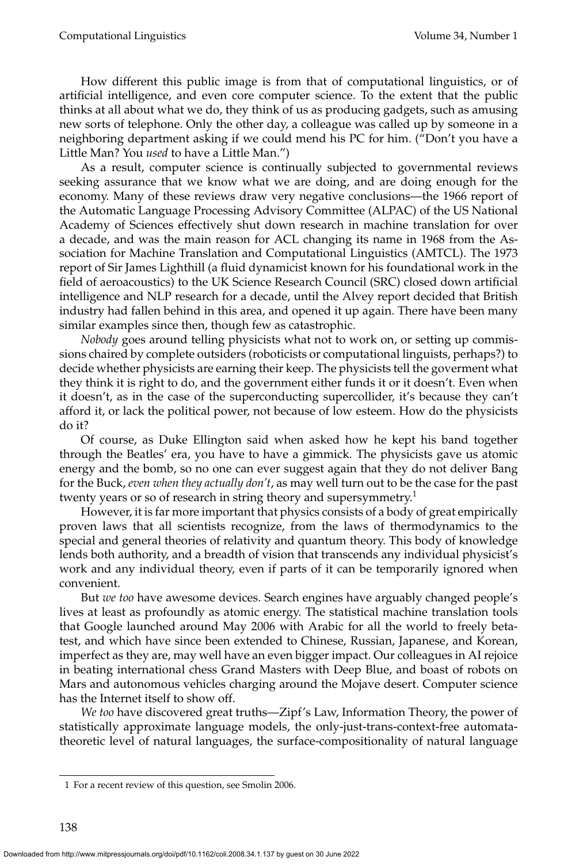How different this public image is from that of computational linguistics, or of artificial intelligence, and even core computer science. To the extent that the public thinks at all about what we do, they think of us as producing gadgets, such as amusing new sorts of telephone. Only the other day, a colleague was called up by someone in a neighboring department asking if we could mend his PC for him. ("Don't you have a Little Man? You *used* to have a Little Man.")

As a result, computer science is continually subjected to governmental reviews seeking assurance that we know what we are doing, and are doing enough for the economy. Many of these reviews draw very negative conclusions—the 1966 report of the Automatic Language Processing Advisory Committee (ALPAC) of the US National Academy of Sciences effectively shut down research in machine translation for over a decade, and was the main reason for ACL changing its name in 1968 from the Association for Machine Translation and Computational Linguistics (AMTCL). The 1973 report of Sir James Lighthill (a fluid dynamicist known for his foundational work in the field of aeroacoustics) to the UK Science Research Council (SRC) closed down artificial intelligence and NLP research for a decade, until the Alvey report decided that British industry had fallen behind in this area, and opened it up again. There have been many similar examples since then, though few as catastrophic.

*Nobody* goes around telling physicists what not to work on, or setting up commissions chaired by complete outsiders (roboticists or computational linguists, perhaps?) to decide whether physicists are earning their keep. The physicists tell the goverment what they think it is right to do, and the government either funds it or it doesn't. Even when it doesn't, as in the case of the superconducting supercollider, it's because they can't afford it, or lack the political power, not because of lowesteem. Howdo the physicists do it?

Of course, as Duke Ellington said when asked how he kept his band together through the Beatles' era, you have to have a gimmick. The physicists gave us atomic energy and the bomb, so no one can ever suggest again that they do not deliver Bang for the Buck, *even when they actually don't*, as may well turn out to be the case for the past twenty years or so of research in string theory and supersymmetry.<sup>1</sup>

However, it is far more important that physics consists of a body of great empirically proven laws that all scientists recognize, from the laws of thermodynamics to the special and general theories of relativity and quantum theory. This body of knowledge lends both authority, and a breadth of vision that transcends any individual physicist's work and any individual theory, even if parts of it can be temporarily ignored when convenient.

But *we too* have awesome devices. Search engines have arguably changed people's lives at least as profoundly as atomic energy. The statistical machine translation tools that Google launched around May 2006 with Arabic for all the world to freely betatest, and which have since been extended to Chinese, Russian, Japanese, and Korean, imperfect as they are, may well have an even bigger impact. Our colleagues in AI rejoice in beating international chess Grand Masters with Deep Blue, and boast of robots on Mars and autonomous vehicles charging around the Mojave desert. Computer science has the Internet itself to showoff.

*We too* have discovered great truths—Zipf's Law, Information Theory, the power of statistically approximate language models, the only-just-trans-context-free automatatheoretic level of natural languages, the surface-compositionality of natural language

<sup>1</sup> For a recent reviewof this question, see Smolin 2006.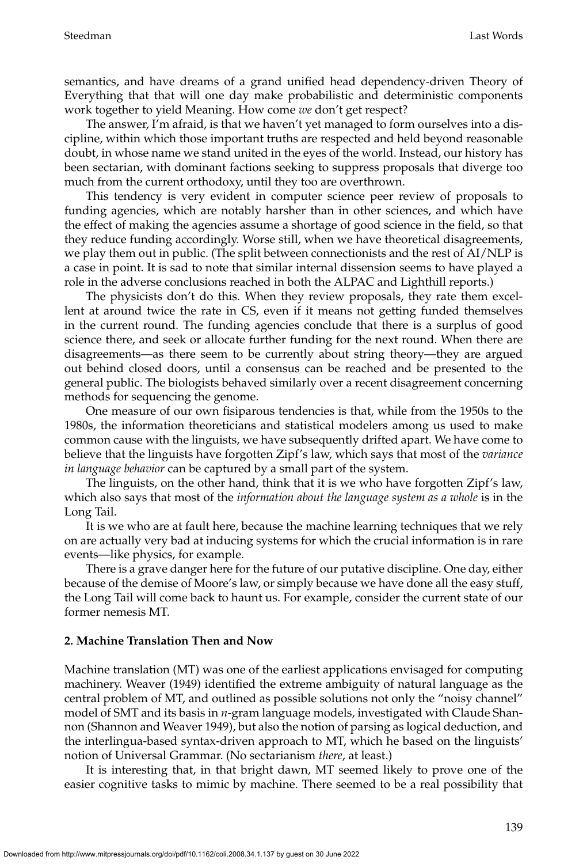semantics, and have dreams of a grand unified head dependency-driven Theory of Everything that that will one day make probabilistic and deterministic components work together to yield Meaning. How come *we* don't get respect?

The answer, I'm afraid, is that we haven't yet managed to form ourselves into a discipline, within which those important truths are respected and held beyond reasonable doubt, in whose name we stand united in the eyes of the world. Instead, our history has been sectarian, with dominant factions seeking to suppress proposals that diverge too much from the current orthodoxy, until they too are overthrown.

This tendency is very evident in computer science peer reviewof proposals to funding agencies, which are notably harsher than in other sciences, and which have the effect of making the agencies assume a shortage of good science in the field, so that they reduce funding accordingly. Worse still, when we have theoretical disagreements, we play them out in public. (The split between connectionists and the rest of AI/NLP is a case in point. It is sad to note that similar internal dissension seems to have played a role in the adverse conclusions reached in both the ALPAC and Lighthill reports.)

The physicists don't do this. When they review proposals, they rate them excellent at around twice the rate in CS, even if it means not getting funded themselves in the current round. The funding agencies conclude that there is a surplus of good science there, and seek or allocate further funding for the next round. When there are disagreements—as there seem to be currently about string theory—they are argued out behind closed doors, until a consensus can be reached and be presented to the general public. The biologists behaved similarly over a recent disagreement concerning methods for sequencing the genome.

One measure of our own fisiparous tendencies is that, while from the 1950s to the 1980s, the information theoreticians and statistical modelers among us used to make common cause with the linguists, we have subsequently drifted apart. We have come to believe that the linguists have forgotten Zipf's law, which says that most of the *variance in language behavior* can be captured by a small part of the system.

The linguists, on the other hand, think that it is we who have forgotten Zipf's law, which also says that most of the *information about the language system as a whole* is in the Long Tail.

It is we who are at fault here, because the machine learning techniques that we rely on are actually very bad at inducing systems for which the crucial information is in rare events—like physics, for example.

There is a grave danger here for the future of our putative discipline. One day, either because of the demise of Moore's law, or simply because we have done all the easy stuff, the Long Tail will come back to haunt us. For example, consider the current state of our former nemesis MT.

#### **2. Machine Translation Then and Now**

Machine translation (MT) was one of the earliest applications envisaged for computing machinery. Weaver (1949) identified the extreme ambiguity of natural language as the central problem of MT, and outlined as possible solutions not only the "noisy channel" model of SMT and its basis in *n*-gram language models, investigated with Claude Shannon (Shannon and Weaver 1949), but also the notion of parsing as logical deduction, and the interlingua-based syntax-driven approach to MT, which he based on the linguists' notion of Universal Grammar. (No sectarianism *there*, at least.)

It is interesting that, in that bright dawn, MT seemed likely to prove one of the easier cognitive tasks to mimic by machine. There seemed to be a real possibility that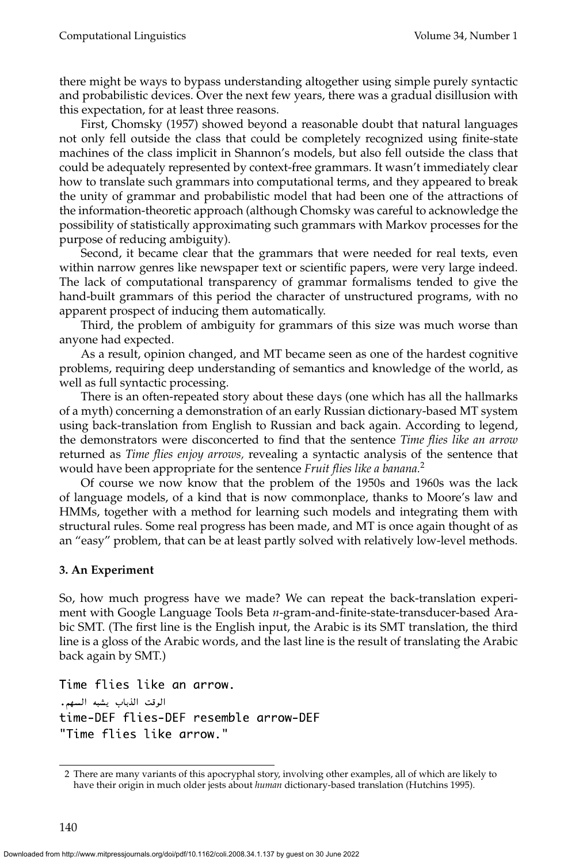there might be ways to bypass understanding altogether using simple purely syntactic and probabilistic devices. Over the next few years, there was a gradual disillusion with this expectation, for at least three reasons.

First, Chomsky (1957) showed beyond a reasonable doubt that natural languages not only fell outside the class that could be completely recognized using finite-state machines of the class implicit in Shannon's models, but also fell outside the class that could be adequately represented by context-free grammars. It wasn't immediately clear how to translate such grammars into computational terms, and they appeared to break the unity of grammar and probabilistic model that had been one of the attractions of the information-theoretic approach (although Chomsky was careful to acknowledge the possibility of statistically approximating such grammars with Markov processes for the purpose of reducing ambiguity).

Second, it became clear that the grammars that were needed for real texts, even within narrow genres like newspaper text or scientific papers, were very large indeed. The lack of computational transparency of grammar formalisms tended to give the hand-built grammars of this period the character of unstructured programs, with no apparent prospect of inducing them automatically.

Third, the problem of ambiguity for grammars of this size was much worse than anyone had expected.

As a result, opinion changed, and MT became seen as one of the hardest cognitive problems, requiring deep understanding of semantics and knowledge of the world, as well as full syntactic processing.

There is an often-repeated story about these days (one which has all the hallmarks of a myth) concerning a demonstration of an early Russian dictionary-based MT system using back-translation from English to Russian and back again. According to legend, the demonstrators were disconcerted to find that the sentence *Time flies like an arrow* returned as *Time flies enjoy arrows,* revealing a syntactic analysis of the sentence that would have been appropriate for the sentence *Fruit flies like a banana.*<sup>2</sup>

Of course we now know that the problem of the 1950s and 1960s was the lack of language models, of a kind that is nowcommonplace, thanks to Moore's lawand HMMs, together with a method for learning such models and integrating them with structural rules. Some real progress has been made, and MT is once again thought of as an "easy" problem, that can be at least partly solved with relatively low-level methods.

### **3. An Experiment**

So, howmuch progress have we made? We can repeat the back-translation experiment with Google Language Tools Beta *n*-gram-and-finite-state-transducer-based Arabic SMT. (The first line is the English input, the Arabic is its SMT translation, the third line is a gloss of the Arabic words, and the last line is the result of translating the Arabic back again by SMT.)

Time flies like an arrow. الوقت الذباب يشبه السهم. time-DEF flies-DEF resemble arrow-DEF "Time flies like arrow."

<sup>2</sup> There are many variants of this apocryphal story, involving other examples, all of which are likely to have their origin in much older jests about *human* dictionary-based translation (Hutchins 1995).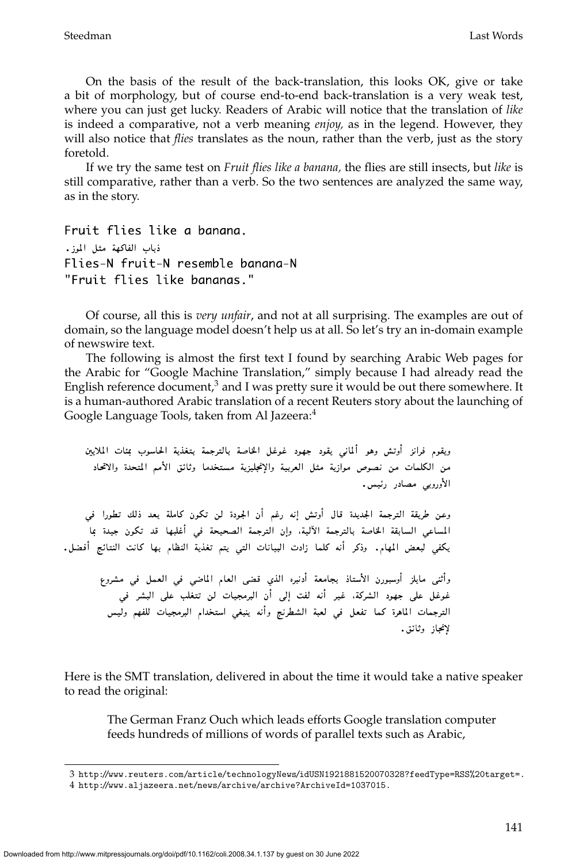On the basis of the result of the back-translation, this looks OK, give or take a bit of morphology, but of course end-to-end back-translation is a very weak test, where you can just get lucky. Readers of Arabic will notice that the translation of *like* is indeed a comparative, not a verb meaning *enjoy,* as in the legend. However, they will also notice that *flies* translates as the noun, rather than the verb, just as the story foretold.

If we try the same test on *Fruit flies like a banana,* the flies are still insects, but *like* is still comparative, rather than a verb. So the two sentences are analyzed the same way, as in the story.

Fruit flies like a banana. ذباب الفاكهة مثل الموز. Flies-N fruit-N resemble banana-N "Fruit flies like bananas."

Of course, all this is *very unfair*, and not at all surprising. The examples are out of domain, so the language model doesn't help us at all. So let's try an in-domain example of newswire text.

The following is almost the first text I found by searching Arabic Web pages for the Arabic for "Google Machine Translation," simply because I had already read the English reference document,<sup>3</sup> and I was pretty sure it would be out there somewhere. It is a human-authored Arabic translation of a recent Reuters story about the launching of Google Language Tools, taken from Al Jazeera:<sup>4</sup>

```
ويقوم فرانز أوتش وهو ألمانى يقود جهود غوغل الخاصة بالترجمة بتغذية الحاسوب بمئات الملايين
  من الكلمات من نصوص موازية مثل العربية والإنجليزية مستخدما وثائق الأمم المتحدة والاتحاد
                                                                  الأوروبي مصادر رئيس.
```
وعن طريقة الترجمة الجديدة قال أُوتش إنه رغم أن الجودة لن تكون كاملة يعد ذلك تطورا في المساعى السابقة الخاصة بالترجمة الآلية، وإن الترجمة الصحيحة في أغلبها قد تكون جيدة بما يكفى لبعض المهام. وذكر أنه كلما زادت البيانات التى يتم تغذية النظام بها كانت النتائج أفضل.

وأثنى مايلز أوسبورن الأستاذ بجامعة أدنبره الذي قضى العام الماضى فى العمل فى مشروع غوغل على جهود الشركة، غير أنه لفت إلى أن البرمجيات لن تتغلب على البشر في الترجمات الماهرة كما تفعل في لعبة الشطرنج وأنه ينبغي استخدام البرمجيات للفهم وليس لانجاز وثائق.

Here is the SMT translation, delivered in about the time it would take a native speaker to read the original:

The German Franz Ouch which leads efforts Google translation computer feeds hundreds of millions of words of parallel texts such as Arabic,

<sup>3</sup> http://www.reuters.com/article/technologyNews/idUSN1921881520070328?feedType=RSS%20target=.

<sup>4</sup> http://www.aljazeera.net/news/archive/archive?ArchiveId=1037015.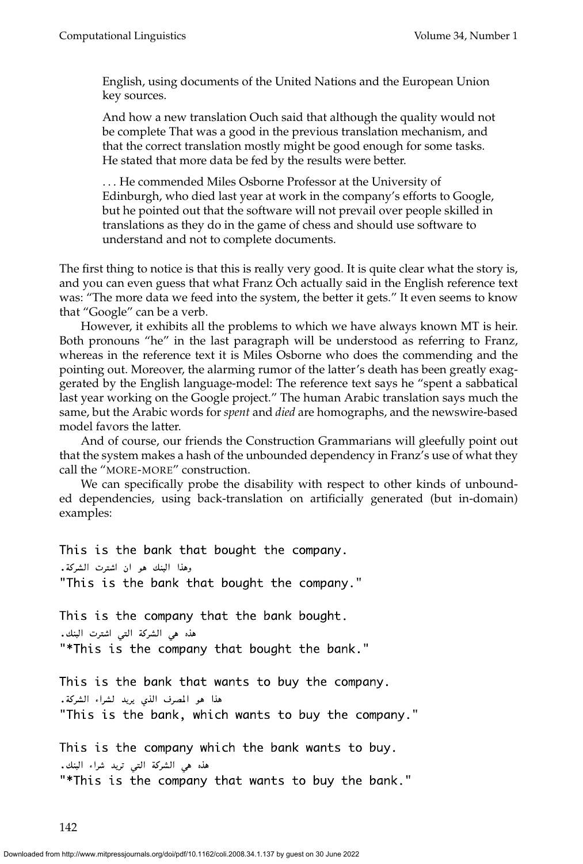English, using documents of the United Nations and the European Union key sources.

And how a new translation Ouch said that although the quality would not be complete That was a good in the previous translation mechanism, and that the correct translation mostly might be good enough for some tasks. He stated that more data be fed by the results were better.

... He commended Miles Osborne Professor at the University of Edinburgh, who died last year at work in the company's efforts to Google, but he pointed out that the software will not prevail over people skilled in translations as they do in the game of chess and should use software to understand and not to complete documents.

The first thing to notice is that this is really very good. It is quite clear what the story is, and you can even guess that what Franz Och actually said in the English reference text was: "The more data we feed into the system, the better it gets." It even seems to know that "Google" can be a verb.

However, it exhibits all the problems to which we have always known MT is heir. Both pronouns "he" in the last paragraph will be understood as referring to Franz, whereas in the reference text it is Miles Osborne who does the commending and the pointing out. Moreover, the alarming rumor of the latter's death has been greatly exaggerated by the English language-model: The reference text says he "spent a sabbatical last year working on the Google project." The human Arabic translation says much the same, but the Arabic words for *spent* and *died* are homographs, and the newswire-based model favors the latter.

And of course, our friends the Construction Grammarians will gleefully point out that the system makes a hash of the unbounded dependency in Franz's use of what they call the "MORE-MORE" construction.

We can specifically probe the disability with respect to other kinds of unbounded dependencies, using back-translation on artificially generated (but in-domain) examples:

This is the bank that bought the company. وهذا البنك هو ان اشترت الشركة. "This is the bank that bought the company." This is the company that the bank bought. هذه هي الشركة التي اشترت البنك. "\*This is the company that bought the bank." This is the bank that wants to buy the company. هذا هو المصرف الذي يريد لشراء الشركة. "This is the bank, which wants to buy the company." This is the company which the bank wants to buy. هذه هي الشركة التي تريد شراء البنك.

"\*This is the company that wants to buy the bank."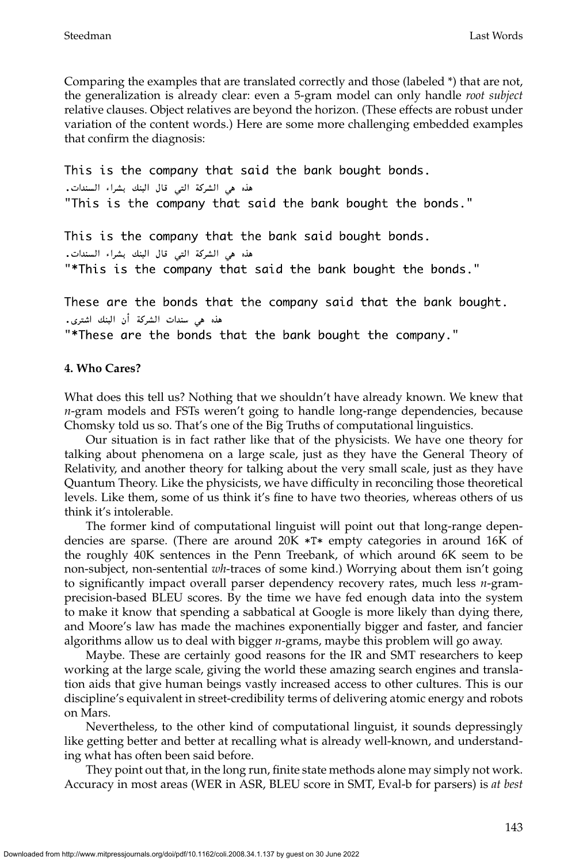Comparing the examples that are translated correctly and those (labeled \*) that are not, the generalization is already clear: even a 5-gram model can only handle *root subject* relative clauses. Object relatives are beyond the horizon. (These effects are robust under variation of the content words.) Here are some more challenging embedded examples that confirm the diagnosis:

```
This is the company that said the bank bought bonds.
هذه هي الشركة التي قال البنك بشراء السندات.
"This is the company that said the bank bought the bonds."
This is the company that the bank said bought bonds.
هذه هي الشركة التي قال البنك بشراء السندات.
"*This is the company that said the bank bought the bonds."
These are the bonds that the company said that the bank bought.
هذه هي سندات الشركة أن البنك اشترى.
"*These are the bonds that the bank bought the company."
```
### **4. Who Cares?**

What does this tell us? Nothing that we shouldn't have already known. We knew that *n*-gram models and FSTs weren't going to handle long-range dependencies, because Chomsky told us so. That's one of the Big Truths of computational linguistics.

Our situation is in fact rather like that of the physicists. We have one theory for talking about phenomena on a large scale, just as they have the General Theory of Relativity, and another theory for talking about the very small scale, just as they have Quantum Theory. Like the physicists, we have difficulty in reconciling those theoretical levels. Like them, some of us think it's fine to have two theories, whereas others of us think it's intolerable.

The former kind of computational linguist will point out that long-range dependencies are sparse. (There are around  $20K \times T^*$  empty categories in around 16K of the roughly 40K sentences in the Penn Treebank, of which around 6K seem to be non-subject, non-sentential *wh*-traces of some kind.) Worrying about them isn't going to significantly impact overall parser dependency recovery rates, much less *n*-gramprecision-based BLEU scores. By the time we have fed enough data into the system to make it know that spending a sabbatical at Google is more likely than dying there, and Moore's law has made the machines exponentially bigger and faster, and fancier algorithms allowus to deal with bigger *n*-grams, maybe this problem will go away.

Maybe. These are certainly good reasons for the IR and SMT researchers to keep working at the large scale, giving the world these amazing search engines and translation aids that give human beings vastly increased access to other cultures. This is our discipline's equivalent in street-credibility terms of delivering atomic energy and robots on Mars.

Nevertheless, to the other kind of computational linguist, it sounds depressingly like getting better and better at recalling what is already well-known, and understanding what has often been said before.

They point out that, in the long run, finite state methods alone may simply not work. Accuracy in most areas (WER in ASR, BLEU score in SMT, Eval-b for parsers) is *at best*